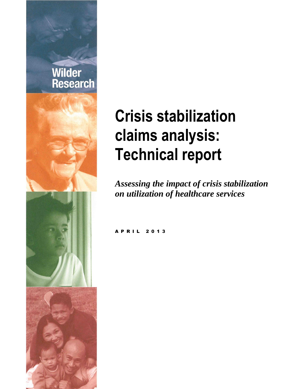

# **Crisis stabilization claims analysis: Technical report**

*Assessing the impact of crisis stabilization on utilization of healthcare services*

**A P R I L 2 0 1 3**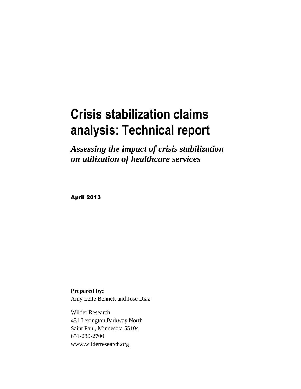## **Crisis stabilization claims analysis: Technical report**

*Assessing the impact of crisis stabilization on utilization of healthcare services*

April 2013

**Prepared by:** Amy Leite Bennett and Jose Diaz

Wilder Research 451 Lexington Parkway North Saint Paul, Minnesota 55104 651-280-2700 www.wilderresearch.org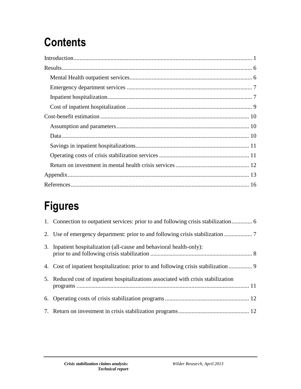## **Contents**

## **Figures**

| 2. Use of emergency department: prior to and following crisis stabilization          |  |
|--------------------------------------------------------------------------------------|--|
| 3. Inpatient hospitalization (all-cause and behavioral health-only):                 |  |
| 4. Cost of inpatient hospitalization: prior to and following crisis stabilization  9 |  |
| 5. Reduced cost of inpatient hospitalizations associated with crisis stabilization   |  |
|                                                                                      |  |
|                                                                                      |  |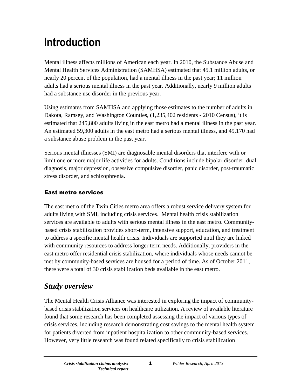## <span id="page-3-0"></span>**Introduction**

Mental illness affects millions of American each year. In 2010, the Substance Abuse and Mental Health Services Administration (SAMHSA) estimated that 45.1 million adults, or nearly 20 percent of the population, had a mental illness in the past year; 11 million adults had a serious mental illness in the past year. Additionally, nearly 9 million adults had a substance use disorder in the previous year.

Using estimates from SAMHSA and applying those estimates to the number of adults in Dakota, Ramsey, and Washington Counties, (1,235,402 residents - 2010 Census), it is estimated that 245,800 adults living in the east metro had a mental illness in the past year. An estimated 59,300 adults in the east metro had a serious mental illness, and 49,170 had a substance abuse problem in the past year.

Serious mental illnesses (SMI) are diagnosable mental disorders that interfere with or limit one or more major life activities for adults. Conditions include bipolar disorder, dual diagnosis, major depression, obsessive compulsive disorder, panic disorder, post-traumatic stress disorder, and schizophrenia.

#### East metro services

The east metro of the Twin Cities metro area offers a robust service delivery system for adults living with SMI, including crisis services. Mental health crisis stabilization services are available to adults with serious mental illness in the east metro. Communitybased crisis stabilization provides short-term, intensive support, education, and treatment to address a specific mental health crisis. Individuals are supported until they are linked with community resources to address longer term needs. Additionally, providers in the east metro offer residential crisis stabilization, where individuals whose needs cannot be met by community-based services are housed for a period of time. As of October 2011, there were a total of 30 crisis stabilization beds available in the east metro.

### *Study overview*

The Mental Health Crisis Alliance was interested in exploring the impact of communitybased crisis stabilization services on healthcare utilization. A review of available literature found that some research has been completed assessing the impact of various types of crisis services, including research demonstrating cost savings to the mental health system for patients diverted from inpatient hospitalization to other community-based services. However, very little research was found related specifically to crisis stabilization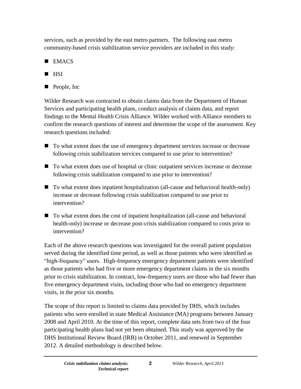services, such as provided by the east metro partners. The following east metro community-based crisis stabilization service providers are included in this study:

- $\blacksquare$  EMACS
- $\blacksquare$  HSI
- **People, Inc.**

Wilder Research was contracted to obtain claims data from the Department of Human Services and participating health plans, conduct analysis of claims data, and report findings to the Mental Health Crisis Alliance. Wilder worked with Alliance members to confirm the research questions of interest and determine the scope of the assessment. Key research questions included:

- To what extent does the use of emergency department services increase or decrease following crisis stabilization services compared to use prior to intervention?
- To what extent does use of hospital or clinic outpatient services increase or decrease following crisis stabilization compared to use prior to intervention?
- To what extent does inpatient hospitalization (all-cause and behavioral health-only) increase or decrease following crisis stabilization compared to use prior to intervention?
- To what extent does the cost of inpatient hospitalization (all-cause and behavioral health-only) increase or decrease post-crisis stabilization compared to costs prior to intervention?

Each of the above research questions was investigated for the overall patient population served during the identified time period, as well as those patients who were identified as "high-frequency" users. High-frequency emergency department patients were identified as those patients who had five or more emergency department claims in the six months prior to crisis stabilization. In contract, low-frequency users are those who had fewer than five emergency department visits, including those who had no emergency department visits, in the prior six months.

The scope of this report is limited to claims data provided by DHS, which includes patients who were enrolled in state Medical Assistance (MA) programs between January 2008 and April 2010. At the time of this report, complete data sets from two of the four participating health plans had not yet been obtained. This study was approved by the DHS Institutional Review Board (IRB) in October 2011, and renewed in September 2012. A detailed methodology is described below.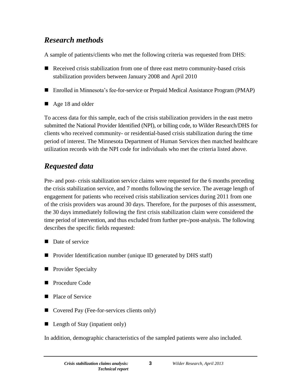### *Research methods*

A sample of patients/clients who met the following criteria was requested from DHS:

- Received crisis stabilization from one of three east metro community-based crisis stabilization providers between January 2008 and April 2010
- Enrolled in Minnesota's fee-for-service or Prepaid Medical Assistance Program (PMAP)
- Age 18 and older

To access data for this sample, each of the crisis stabilization providers in the east metro submitted the National Provider Identified (NPI), or billing code, to Wilder Research/DHS for clients who received community- or residential-based crisis stabilization during the time period of interest. The Minnesota Department of Human Services then matched healthcare utilization records with the NPI code for individuals who met the criteria listed above.

## *Requested data*

Pre- and post- crisis stabilization service claims were requested for the 6 months preceding the crisis stabilization service, and 7 months following the service. The average length of engagement for patients who received crisis stabilization services during 2011 from one of the crisis providers was around 30 days. Therefore, for the purposes of this assessment, the 30 days immediately following the first crisis stabilization claim were considered the time period of intervention, and thus excluded from further pre-/post-analysis. The following describes the specific fields requested:

- Date of service
- Provider Identification number (unique ID generated by DHS staff)
- **Provider Specialty**
- **Procedure Code**
- Place of Service
- Covered Pay (Fee-for-services clients only)
- Length of Stay (inpatient only)

In addition, demographic characteristics of the sampled patients were also included.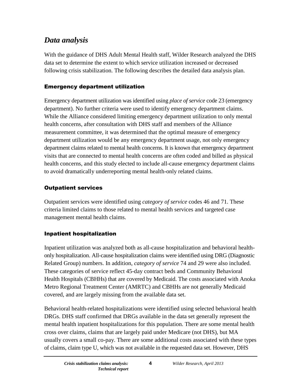## *Data analysis*

With the guidance of DHS Adult Mental Health staff, Wilder Research analyzed the DHS data set to determine the extent to which service utilization increased or decreased following crisis stabilization. The following describes the detailed data analysis plan.

#### Emergency department utilization

Emergency department utilization was identified using *place of service* code 23 (emergency department). No further criteria were used to identify emergency department claims. While the Alliance considered limiting emergency department utilization to only mental health concerns, after consultation with DHS staff and members of the Alliance measurement committee, it was determined that the optimal measure of emergency department utilization would be any emergency department usage, not only emergency department claims related to mental health concerns. It is known that emergency department visits that are connected to mental health concerns are often coded and billed as physical health concerns, and this study elected to include all-cause emergency department claims to avoid dramatically underreporting mental health-only related claims.

#### Outpatient services

Outpatient services were identified using *category of service* codes 46 and 71. These criteria limited claims to those related to mental health services and targeted case management mental health claims.

#### Inpatient hospitalization

Inpatient utilization was analyzed both as all-cause hospitalization and behavioral healthonly hospitalization. All-cause hospitalization claims were identified using DRG (Diagnostic Related Group) numbers. In addition, *category of service* 74 and 29 were also included. These categories of service reflect 45-day contract beds and Community Behavioral Health Hospitals (CBHHs) that are covered by Medicaid. The costs associated with Anoka Metro Regional Treatment Center (AMRTC) and CBHHs are not generally Medicaid covered, and are largely missing from the available data set.

Behavioral health-related hospitalizations were identified using selected behavioral health DRGs. DHS staff confirmed that DRGs available in the data set generally represent the mental health inpatient hospitalizations for this population. There are some mental health cross over claims, claims that are largely paid under Medicare (not DHS), but MA usually covers a small co-pay. There are some additional costs associated with these types of claims, claim type U, which was not available in the requested data set. However, DHS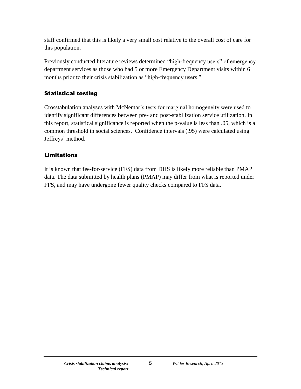staff confirmed that this is likely a very small cost relative to the overall cost of care for this population.

Previously conducted literature reviews determined "high-frequency users" of emergency department services as those who had 5 or more Emergency Department visits within 6 months prior to their crisis stabilization as "high-frequency users."

#### Statistical testing

Crosstabulation analyses with McNemar's tests for marginal homogeneity were used to identify significant differences between pre- and post-stabilization service utilization. In this report, statistical significance is reported when the p-value is less than .05, which is a common threshold in social sciences. Confidence intervals (.95) were calculated using Jeffreys' method.

#### **Limitations**

It is known that fee-for-service (FFS) data from DHS is likely more reliable than PMAP data. The data submitted by health plans (PMAP) may differ from what is reported under FFS, and may have undergone fewer quality checks compared to FFS data.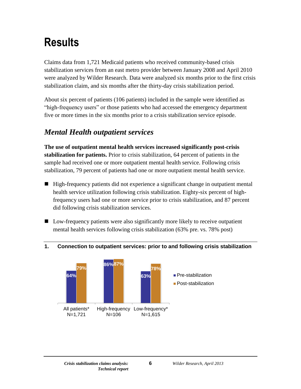## <span id="page-8-0"></span>**Results**

Claims data from 1,721 Medicaid patients who received community-based crisis stabilization services from an east metro provider between January 2008 and April 2010 were analyzed by Wilder Research. Data were analyzed six months prior to the first crisis stabilization claim, and six months after the thirty-day crisis stabilization period.

About six percent of patients (106 patients) included in the sample were identified as "high-frequency users" or those patients who had accessed the emergency department five or more times in the six months prior to a crisis stabilization service episode.

## <span id="page-8-1"></span>*Mental Health outpatient services*

**The use of outpatient mental health services increased significantly post-crisis stabilization for patients.** Prior to crisis stabilization, 64 percent of patients in the sample had received one or more outpatient mental health service. Following crisis stabilization, 79 percent of patients had one or more outpatient mental health service.

- High-frequency patients did not experience a significant change in outpatient mental health service utilization following crisis stabilization. Eighty-six percent of highfrequency users had one or more service prior to crisis stabilization, and 87 percent did following crisis stabilization services.
- Low-frequency patients were also significantly more likely to receive outpatient mental health services following crisis stabilization (63% pre. vs. 78% post)

#### <span id="page-8-2"></span>**1. Connection to outpatient services: prior to and following crisis stabilization**

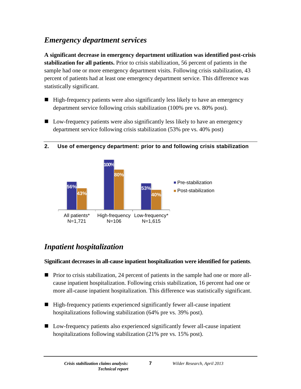### <span id="page-9-0"></span>*Emergency department services*

**A significant decrease in emergency department utilization was identified post-crisis stabilization for all patients.** Prior to crisis stabilization, 56 percent of patients in the sample had one or more emergency department visits. Following crisis stabilization, 43 percent of patients had at least one emergency department service. This difference was statistically significant.

- $\blacksquare$  High-frequency patients were also significantly less likely to have an emergency department service following crisis stabilization (100% pre vs. 80% post).
- Low-frequency patients were also significantly less likely to have an emergency department service following crisis stabilization (53% pre vs. 40% post)

<span id="page-9-2"></span>



## <span id="page-9-1"></span>*Inpatient hospitalization*

#### **Significant decreases in all-cause inpatient hospitalization were identified for patients**.

- **Prior to crisis stabilization, 24 percent of patients in the sample had one or more all**cause inpatient hospitalization. Following crisis stabilization, 16 percent had one or more all-cause inpatient hospitalization. This difference was statistically significant.
- High-frequency patients experienced significantly fewer all-cause inpatient hospitalizations following stabilization (64% pre vs. 39% post).
- Low-frequency patients also experienced significantly fewer all-cause inpatient hospitalizations following stabilization (21% pre vs. 15% post).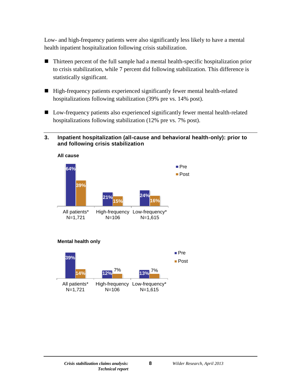Low- and high-frequency patients were also significantly less likely to have a mental health inpatient hospitalization following crisis stabilization.

- Thirteen percent of the full sample had a mental health-specific hospitalization prior to crisis stabilization, while 7 percent did following stabilization. This difference is statistically significant.
- High-frequency patients experienced significantly fewer mental health-related hospitalizations following stabilization (39% pre vs. 14% post).
- Low-frequency patients also experienced significantly fewer mental health-related hospitalizations following stabilization (12% pre vs. 7% post).

#### <span id="page-10-0"></span>**3. Inpatient hospitalization (all-cause and behavioral health-only): prior to and following crisis stabilization**





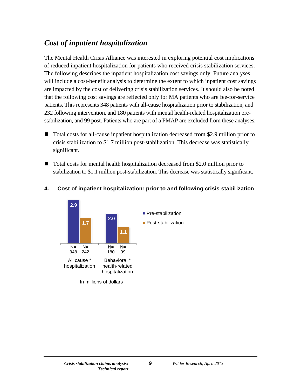### <span id="page-11-0"></span>*Cost of inpatient hospitalization*

The Mental Health Crisis Alliance was interested in exploring potential cost implications of reduced inpatient hospitalization for patients who received crisis stabilization services. The following describes the inpatient hospitalization cost savings only. Future analyses will include a cost-benefit analysis to determine the extent to which inpatient cost savings are impacted by the cost of delivering crisis stabilization services. It should also be noted that the following cost savings are reflected only for MA patients who are fee-for-service patients. This represents 348 patients with all-cause hospitalization prior to stabilization, and 232 following intervention, and 180 patients with mental health-related hospitalization prestabilization, and 99 post. Patients who are part of a PMAP are excluded from these analyses.

- Total costs for all-cause inpatient hospitalization decreased from \$2.9 million prior to crisis stabilization to \$1.7 million post-stabilization. This decrease was statistically significant.
- Total costs for mental health hospitalization decreased from \$2.0 million prior to stabilization to \$1.1 million post-stabilization. This decrease was statistically significant.



#### <span id="page-11-1"></span>**4. Cost of inpatient hospitalization: prior to and following crisis stabilization**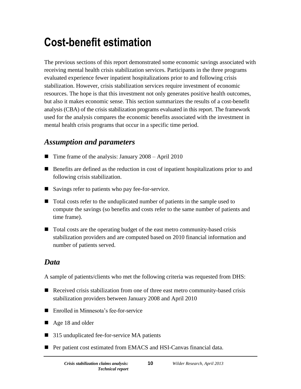## <span id="page-12-0"></span>**Cost-benefit estimation**

The previous sections of this report demonstrated some economic savings associated with receiving mental health crisis stabilization services. Participants in the three programs evaluated experience fewer inpatient hospitalizations prior to and following crisis stabilization. However, crisis stabilization services require investment of economic resources. The hope is that this investment not only generates positive health outcomes, but also it makes economic sense. This section summarizes the results of a cost-benefit analysis (CBA) of the crisis stabilization programs evaluated in this report. The framework used for the analysis compares the economic benefits associated with the investment in mental health crisis programs that occur in a specific time period.

## <span id="page-12-1"></span>*Assumption and parameters*

- Time frame of the analysis: January 2008 April 2010
- Benefits are defined as the reduction in cost of inpatient hospitalizations prior to and following crisis stabilization.
- Savings refer to patients who pay fee-for-service.
- Total costs refer to the unduplicated number of patients in the sample used to compute the savings (so benefits and costs refer to the same number of patients and time frame).
- Total costs are the operating budget of the east metro community-based crisis stabilization providers and are computed based on 2010 financial information and number of patients served.

### <span id="page-12-2"></span>*Data*

A sample of patients/clients who met the following criteria was requested from DHS:

- Received crisis stabilization from one of three east metro community-based crisis stabilization providers between January 2008 and April 2010
- Enrolled in Minnesota's fee-for-service
- Age 18 and older
- 315 unduplicated fee-for-service MA patients
- Per patient cost estimated from EMACS and HSI-Canvas financial data.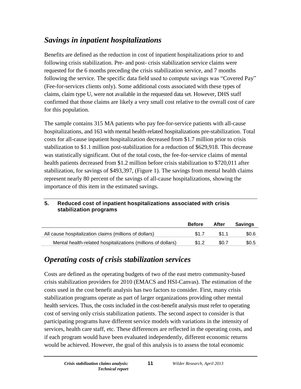## <span id="page-13-0"></span>*Savings in inpatient hospitalizations*

Benefits are defined as the reduction in cost of inpatient hospitalizations prior to and following crisis stabilization. Pre- and post- crisis stabilization service claims were requested for the 6 months preceding the crisis stabilization service, and 7 months following the service. The specific data field used to compute savings was "Covered Pay" (Fee-for-services clients only). Some additional costs associated with these types of claims, claim type U, were not available in the requested data set. However, DHS staff confirmed that those claims are likely a very small cost relative to the overall cost of care for this population.

The sample contains 315 MA patients who pay fee-for-service patients with all-cause hospitalizations, and 163 with mental health-related hospitalizations pre-stabilization. Total costs for all-cause inpatient hospitalization decreased from \$1.7 million prior to crisis stabilization to \$1.1 million post-stabilization for a reduction of \$629,918. This decrease was statistically significant. Out of the total costs, the fee-for-service claims of mental health patients decreased from \$1.2 million before crisis stabilization to \$720,011 after stabilization, for savings of \$493,397, (Figure 1). The savings from mental health claims represent nearly 80 percent of the savings of all-cause hospitalizations, showing the importance of this item in the estimated savings.

## **stabilization programs Before After Savings**

<span id="page-13-2"></span>**5. Reduced cost of inpatient hospitalizations associated with crisis** 

|                                                              | <b>Before</b> | After | savings |
|--------------------------------------------------------------|---------------|-------|---------|
| All cause hospitalization claims (millions of dollars)       | \$17          | \$1 1 | \$0.6   |
| Mental health-related hospitalizations (millions of dollars) | \$1.2         | \$0.7 | \$0.5   |

## <span id="page-13-1"></span>*Operating costs of crisis stabilization services*

Costs are defined as the operating budgets of two of the east metro community-based crisis stabilization providers for 2010 (EMACS and HSI-Canvas). The estimation of the costs used in the cost benefit analysis has two factors to consider. First, many crisis stabilization programs operate as part of larger organizations providing other mental health services. Thus, the costs included in the cost-benefit analysis must refer to operating cost of serving only crisis stabilization patients. The second aspect to consider is that participating programs have different service models with variations in the intensity of services, health care staff, etc. These differences are reflected in the operating costs, and if each program would have been evaluated independently, different economic returns would be achieved. However, the goal of this analysis is to assess the total economic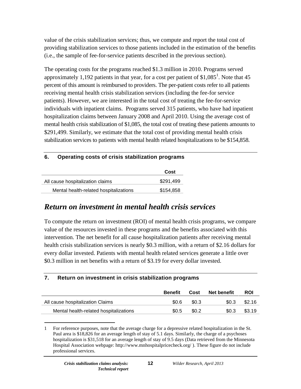value of the crisis stabilization services; thus, we compute and report the total cost of providing stabilization services to those patients included in the estimation of the benefits (i.e., the sample of fee-for-service patients described in the previous section).

The operating costs for the programs reached \$1.3 million in 2010. Programs served approximately 1,192 patients in that year, for a cost per patient of  $$1,085<sup>1</sup>$ . Note that 45 percent of this amount is reimbursed to providers. The per-patient costs refer to all patients receiving mental health crisis stabilization services (including the fee-for service patients). However, we are interested in the total cost of treating the fee-for-service individuals with inpatient claims. Programs served 315 patients, who have had inpatient hospitalization claims between January 2008 and April 2010. Using the average cost of mental health crisis stabilization of \$1,085, the total cost of treating these patients amounts to \$291,499. Similarly, we estimate that the total cost of providing mental health crisis stabilization services to patients with mental health related hospitalizations to be \$154,858.

#### <span id="page-14-1"></span>**6. Operating costs of crisis stabilization programs**

|                                        | Cost      |
|----------------------------------------|-----------|
| All cause hospitalization claims       | \$291,499 |
| Mental health-related hospitalizations | \$154,858 |

#### <span id="page-14-0"></span>*Return on investment in mental health crisis services*

To compute the return on investment (ROI) of mental health crisis programs, we compare value of the resources invested in these programs and the benefits associated with this intervention. The net benefit for all cause hospitalization patients after receiving mental health crisis stabilization services is nearly \$0.3 million, with a return of \$2.16 dollars for every dollar invested. Patients with mental health related services generate a little over \$0.3 million in net benefits with a return of \$3.19 for every dollar invested.

#### <span id="page-14-2"></span>**7. Return on investment in crisis stabilization programs**

|                                        | <b>Benefit</b> | Cost    | <b>Net benefit</b> | <b>ROI</b> |
|----------------------------------------|----------------|---------|--------------------|------------|
| All cause hospitalization Claims       | \$0.6          | \$0.3   | \$0.3              | \$2.16     |
| Mental health-related hospitalizations | \$0.5          | \$0.2\$ | \$0.3              | \$3.19     |

 $\overline{a}$ 1 For reference purposes, note that the average charge for a depressive related hospitalization in the St. Paul area is \$18,826 for an average length of stay of 5.1 days. Similarly, the charge of a psychoses hospitalization is \$31,518 for an average length of stay of 9.5 days (Data retrieved from the Minnesota Hospital Association webpage:<http://www.mnhospitalpricecheck.org/> ). These figure do not include professional services.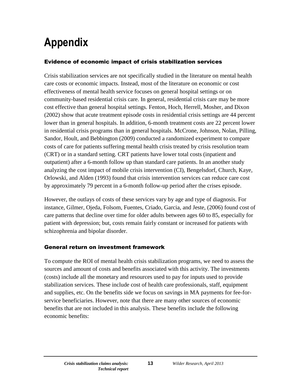## <span id="page-15-0"></span>**Appendix**

#### Evidence of economic impact of crisis stabilization services

Crisis stabilization services are not specifically studied in the literature on mental health care costs or economic impacts. Instead, most of the literature on economic or cost effectiveness of mental health service focuses on general hospital settings or on community-based residential crisis care. In general, residential crisis care may be more cost effective than general hospital settings. Fenton, Hoch, Herrell, Mosher, and Dixon (2002) show that acute treatment episode costs in residential crisis settings are 44 percent lower than in general hospitals. In addition, 6-month treatment costs are 22 percent lower in residential crisis programs than in general hospitals. McCrone, Johnson, Nolan, Pilling, Sandor, Hoult, and Bebbington (2009) conducted a randomized experiment to compare costs of care for patients suffering mental health crisis treated by crisis resolution team (CRT) or in a standard setting. CRT patients have lower total costs (inpatient and outpatient) after a 6-month follow up than standard care patients. In an another study analyzing the cost impact of mobile crisis intervention (CI), Bengelsdorf, Church, Kaye, Orlowski, and Alden (1993) found that crisis intervention services can reduce care cost by approximately 79 percent in a 6-month follow-up period after the crises episode.

However, the outlays of costs of these services vary by age and type of diagnosis. For instance, Gilmer, Ojeda, Folsom, Fuentes, Criado, Garcia, and Jeste, (2006) found cost of care patterns that decline over time for older adults between ages 60 to 85, especially for patient with depression; but, costs remain fairly constant or increased for patients with schizophrenia and bipolar disorder.

#### General return on investment framework

To compute the ROI of mental health crisis stabilization programs, we need to assess the sources and amount of costs and benefits associated with this activity. The investments (costs) include all the monetary and resources used to pay for inputs used to provide stabilization services. These include cost of health care professionals, staff, equipment and supplies, etc. On the benefits side we focus on savings in MA payments for fee-forservice beneficiaries. However, note that there are many other sources of economic benefits that are not included in this analysis. These benefits include the following economic benefits: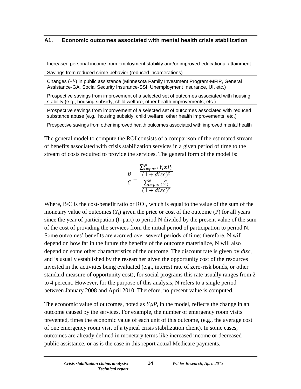#### **A1. Economic outcomes associated with mental health crisis stabilization**

Increased personal income from employment stability and/or improved educational attainment

Savings from reduced crime behavior (reduced incarcerations)

Changes (+/-) in public assistance (Minnesota Family Investment Program-MFIP, General Assistance-GA, Social Security Insurance-SSI, Unemployment Insurance, UI, etc.)

Prospective savings from improvement of a selected set of outcomes associated with housing stability (e.g., housing subsidy, child welfare, other health improvements, etc.)

Prospective savings from improvement of a selected set of outcomes associated with reduced substance abuse (e.g., housing subsidy, child welfare, other health improvements, etc.)

Prospective savings from other improved health outcomes associated with improved mental health

The general model to compute the ROI consists of a comparison of the estimated stream of benefits associated with crisis stabilization services in a given period of time to the stream of costs required to provide the services. The general form of the model is:

$$
\frac{B}{C} = \frac{\frac{\sum_{t-part}^{N} Y_t x P_t}{(1 + disc)^t}}{\frac{\sum_{t-part}^{N} C_t}{(1 + disc)^t}}
$$

Where, B/C is the cost-benefit ratio or ROI, which is equal to the value of the sum of the monetary value of outcomes  $(Y_t)$  given the price or cost of the outcome  $(P)$  for all years since the year of participation (t=part) to period N divided by the present value of the sum of the cost of providing the services from the initial period of participation to period N. Some outcomes' benefits are accrued over several periods of time; therefore, N will depend on how far in the future the benefits of the outcome materialize, N will also depend on some other characteristics of the outcome. The discount rate is given by *disc*, and is usually established by the researcher given the opportunity cost of the resources invested in the activities being evaluated (e.g., interest rate of zero-risk bonds, or other standard measure of opportunity cost); for social programs this rate usually ranges from 2 to 4 percent. However, for the purpose of this analysis, N refers to a single period between January 2008 and April 2010. Therefore, no present value is computed.

The economic value of outcomes, noted as  $Y_t x P_t$  in the model, reflects the change in an outcome caused by the services. For example, the number of emergency room visits prevented, times the economic value of each unit of this outcome, (e.g., the average cost of one emergency room visit of a typical crisis stabilization client). In some cases, outcomes are already defined in monetary terms like increased income or decreased public assistance, or as is the case in this report actual Medicare payments.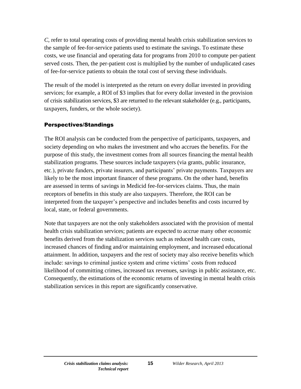*C*, refer to total operating costs of providing mental health crisis stabilization services to the sample of fee-for-service patients used to estimate the savings. To estimate these costs, we use financial and operating data for programs from 2010 to compute per-patient served costs. Then, the per-patient cost is multiplied by the number of unduplicated cases of fee-for-service patients to obtain the total cost of serving these individuals.

The result of the model is interpreted as the return on every dollar invested in providing services; for example, a ROI of \$3 implies that for every dollar invested in the provision of crisis stabilization services, \$3 are returned to the relevant stakeholder (e.g., participants, taxpayers, funders, or the whole society).

#### Perspectives/Standings

The ROI analysis can be conducted from the perspective of participants, taxpayers, and society depending on who makes the investment and who accrues the benefits. For the purpose of this study, the investment comes from all sources financing the mental health stabilization programs. These sources include taxpayers (via grants, public insurance, etc.), private funders, private insurers, and participants' private payments. Taxpayers are likely to be the most important financer of these programs. On the other hand, benefits are assessed in terms of savings in Medicid fee-for-services claims. Thus, the main receptors of benefits in this study are also taxpayers. Therefore, the ROI can be interpreted from the taxpayer's perspective and includes benefits and costs incurred by local, state, or federal governments.

Note that taxpayers are not the only stakeholders associated with the provision of mental health crisis stabilization services; patients are expected to accrue many other economic benefits derived from the stabilization services such as reduced health care costs, increased chances of finding and/or maintaining employment, and increased educational attainment. In addition, taxpayers and the rest of society may also receive benefits which include: savings to criminal justice system and crime victims' costs from reduced likelihood of committing crimes, increased tax revenues, savings in public assistance, etc. Consequently, the estimations of the economic returns of investing in mental health crisis stabilization services in this report are significantly conservative.